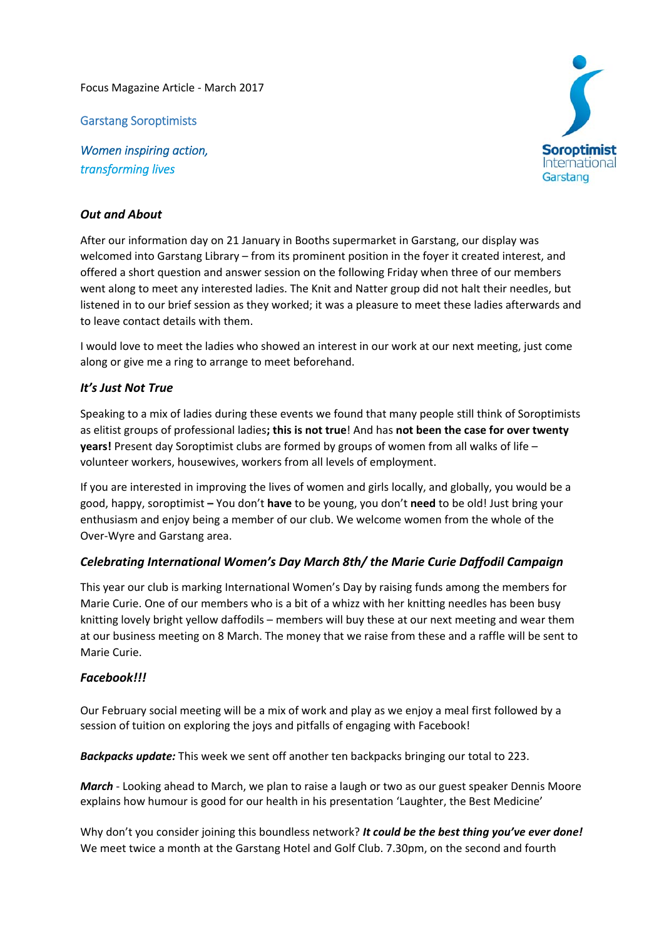Focus Magazine Article ‐ March 2017

Garstang Soroptimists

*Women inspiring action, transforming lives*



## *Out and About*

After our information day on 21 January in Booths supermarket in Garstang, our display was welcomed into Garstang Library – from its prominent position in the foyer it created interest, and offered a short question and answer session on the following Friday when three of our members went along to meet any interested ladies. The Knit and Natter group did not halt their needles, but listened in to our brief session as they worked; it was a pleasure to meet these ladies afterwards and to leave contact details with them.

I would love to meet the ladies who showed an interest in our work at our next meeting, just come along or give me a ring to arrange to meet beforehand.

## *It's Just Not True*

Speaking to a mix of ladies during these events we found that many people still think of Soroptimists as elitist groups of professional ladies**; this is not true**! And has **not been the case for over twenty years!** Present day Soroptimist clubs are formed by groups of women from all walks of life – volunteer workers, housewives, workers from all levels of employment.

If you are interested in improving the lives of women and girls locally, and globally, you would be a good, happy, soroptimist **–** You don't **have** to be young, you don't **need** to be old! Just bring your enthusiasm and enjoy being a member of our club. We welcome women from the whole of the Over‐Wyre and Garstang area.

## *Celebrating International Women's Day March 8th/ the Marie Curie Daffodil Campaign*

This year our club is marking International Women's Day by raising funds among the members for Marie Curie. One of our members who is a bit of a whizz with her knitting needles has been busy knitting lovely bright yellow daffodils – members will buy these at our next meeting and wear them at our business meeting on 8 March. The money that we raise from these and a raffle will be sent to Marie Curie.

## *Facebook!!!*

Our February social meeting will be a mix of work and play as we enjoy a meal first followed by a session of tuition on exploring the joys and pitfalls of engaging with Facebook!

*Backpacks update:* This week we sent off another ten backpacks bringing our total to 223.

*March* ‐ Looking ahead to March, we plan to raise a laugh or two as our guest speaker Dennis Moore explains how humour is good for our health in his presentation 'Laughter, the Best Medicine'

Why don't you consider joining this boundless network? *It could be the best thing you've ever done!*  We meet twice a month at the Garstang Hotel and Golf Club. 7.30pm, on the second and fourth